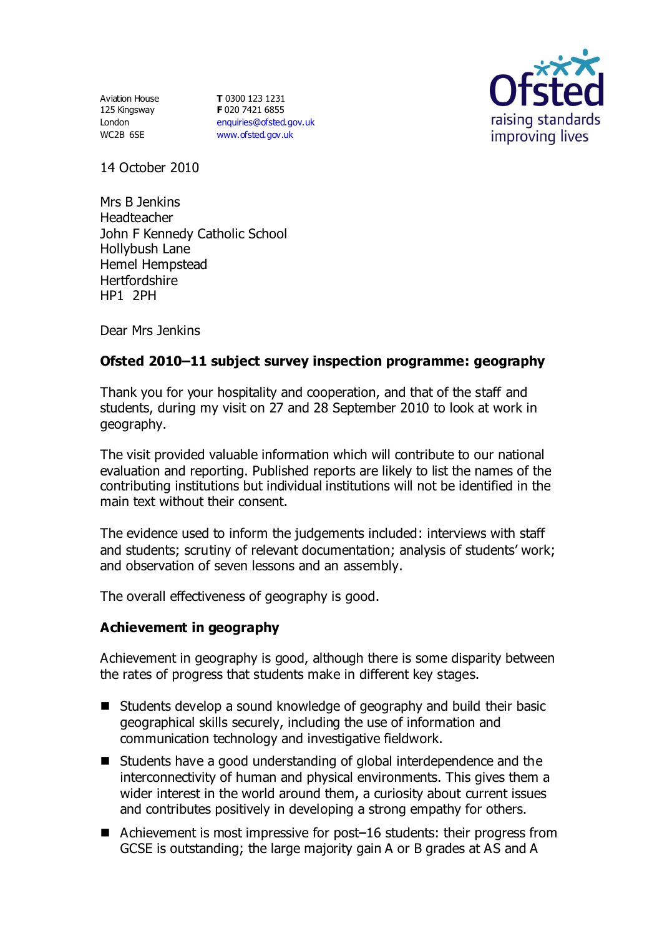Aviation House 125 Kingsway London WC2B 6SE

**T** 0300 123 1231 **F** 020 7421 6855 [enquiries@ofsted.gov.uk](mailto:enquiries@ofsted.gov.uk) [www.ofsted.gov.uk](http://www.ofsted.gov.uk/)



14 October 2010

Mrs B Jenkins Headteacher John F Kennedy Catholic School Hollybush Lane Hemel Hempstead **Hertfordshire** HP1 2PH

Dear Mrs Jenkins

# **Ofsted 2010–11 subject survey inspection programme: geography**

Thank you for your hospitality and cooperation, and that of the staff and students, during my visit on 27 and 28 September 2010 to look at work in geography.

The visit provided valuable information which will contribute to our national evaluation and reporting. Published reports are likely to list the names of the contributing institutions but individual institutions will not be identified in the main text without their consent.

The evidence used to inform the judgements included: interviews with staff and students; scrutiny of relevant documentation; analysis of students' work; and observation of seven lessons and an assembly.

The overall effectiveness of geography is good.

#### **Achievement in geography**

Achievement in geography is good, although there is some disparity between the rates of progress that students make in different key stages.

- Students develop a sound knowledge of geography and build their basic geographical skills securely, including the use of information and communication technology and investigative fieldwork.
- Students have a good understanding of global interdependence and the interconnectivity of human and physical environments. This gives them a wider interest in the world around them, a curiosity about current issues and contributes positively in developing a strong empathy for others.
- Achievement is most impressive for post-16 students: their progress from GCSE is outstanding; the large majority gain A or B grades at AS and A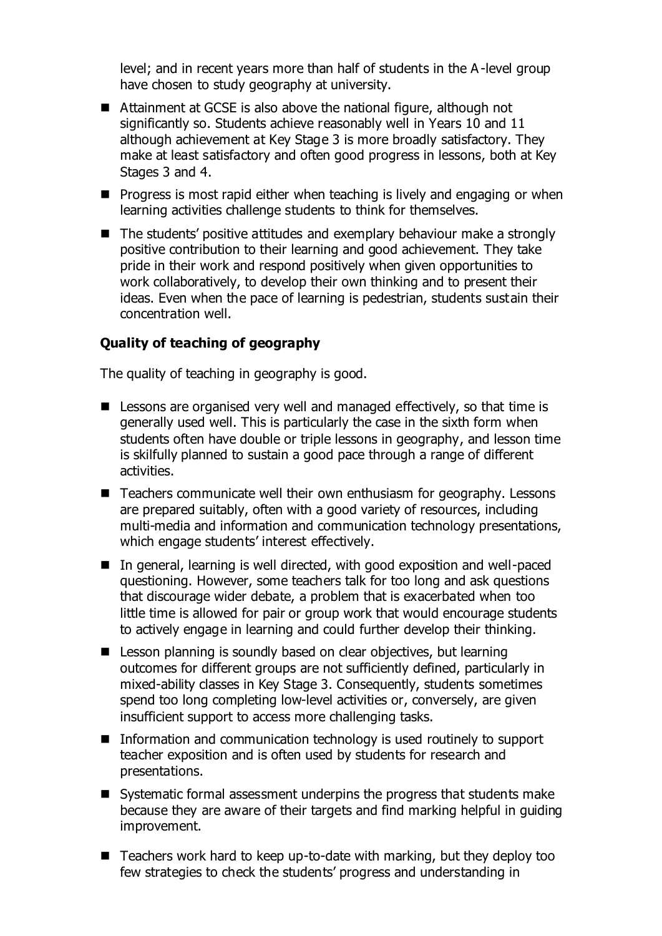level; and in recent years more than half of students in the A-level group have chosen to study geography at university.

- Attainment at GCSE is also above the national figure, although not significantly so. Students achieve reasonably well in Years 10 and 11 although achievement at Key Stage 3 is more broadly satisfactory. They make at least satisfactory and often good progress in lessons, both at Key Stages 3 and 4.
- $\blacksquare$  Progress is most rapid either when teaching is lively and engaging or when learning activities challenge students to think for themselves.
- The students' positive attitudes and exemplary behaviour make a strongly positive contribution to their learning and good achievement. They take pride in their work and respond positively when given opportunities to work collaboratively, to develop their own thinking and to present their ideas. Even when the pace of learning is pedestrian, students sustain their concentration well.

### **Quality of teaching of geography**

The quality of teaching in geography is good.

- $\blacksquare$  Lessons are organised very well and managed effectively, so that time is generally used well. This is particularly the case in the sixth form when students often have double or triple lessons in geography, and lesson time is skilfully planned to sustain a good pace through a range of different activities.
- Teachers communicate well their own enthusiasm for geography. Lessons are prepared suitably, often with a good variety of resources, including multi-media and information and communication technology presentations, which engage students' interest effectively.
- In general, learning is well directed, with good exposition and well-paced questioning. However, some teachers talk for too long and ask questions that discourage wider debate, a problem that is exacerbated when too little time is allowed for pair or group work that would encourage students to actively engage in learning and could further develop their thinking.
- Lesson planning is soundly based on clear objectives, but learning outcomes for different groups are not sufficiently defined, particularly in mixed-ability classes in Key Stage 3. Consequently, students sometimes spend too long completing low-level activities or, conversely, are given insufficient support to access more challenging tasks.
- Information and communication technology is used routinely to support teacher exposition and is often used by students for research and presentations.
- Systematic formal assessment underpins the progress that students make because they are aware of their targets and find marking helpful in guiding improvement.
- $\blacksquare$  Teachers work hard to keep up-to-date with marking, but they deploy too few strategies to check the students' progress and understanding in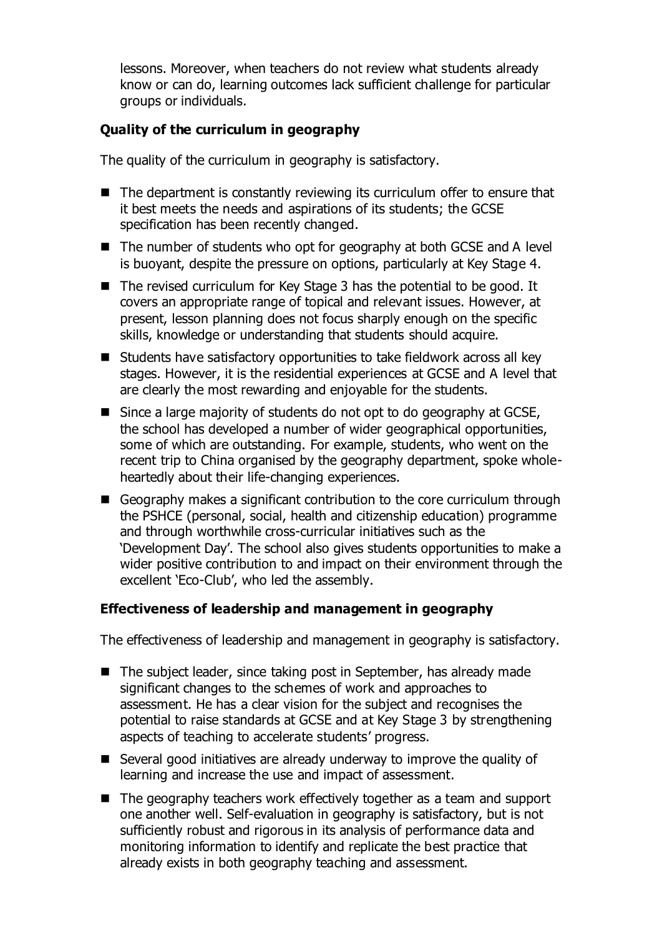lessons. Moreover, when teachers do not review what students already know or can do, learning outcomes lack sufficient challenge for particular groups or individuals.

# **Quality of the curriculum in geography**

The quality of the curriculum in geography is satisfactory.

- The department is constantly reviewing its curriculum offer to ensure that it best meets the needs and aspirations of its students; the GCSE specification has been recently changed.
- The number of students who opt for geography at both GCSE and A level is buoyant, despite the pressure on options, particularly at Key Stage 4.
- The revised curriculum for Key Stage 3 has the potential to be good. It covers an appropriate range of topical and relevant issues. However, at present, lesson planning does not focus sharply enough on the specific skills, knowledge or understanding that students should acquire.
- Students have satisfactory opportunities to take fieldwork across all key stages. However, it is the residential experiences at GCSE and A level that are clearly the most rewarding and enjoyable for the students.
- $\blacksquare$  Since a large majority of students do not opt to do geography at GCSE, the school has developed a number of wider geographical opportunities, some of which are outstanding. For example, students, who went on the recent trip to China organised by the geography department, spoke wholeheartedly about their life-changing experiences.
- Geography makes a significant contribution to the core curriculum through the PSHCE (personal, social, health and citizenship education) programme and through worthwhile cross-curricular initiatives such as the 'Development Day'. The school also gives students opportunities to make a wider positive contribution to and impact on their environment through the excellent 'Eco-Club', who led the assembly.

### **Effectiveness of leadership and management in geography**

The effectiveness of leadership and management in geography is satisfactory.

- The subject leader, since taking post in September, has already made significant changes to the schemes of work and approaches to assessment. He has a clear vision for the subject and recognises the potential to raise standards at GCSE and at Key Stage 3 by strengthening aspects of teaching to accelerate students' progress.
- Several good initiatives are already underway to improve the quality of learning and increase the use and impact of assessment.
- $\blacksquare$  The geography teachers work effectively together as a team and support one another well. Self-evaluation in geography is satisfactory, but is not sufficiently robust and rigorous in its analysis of performance data and monitoring information to identify and replicate the best practice that already exists in both geography teaching and assessment.